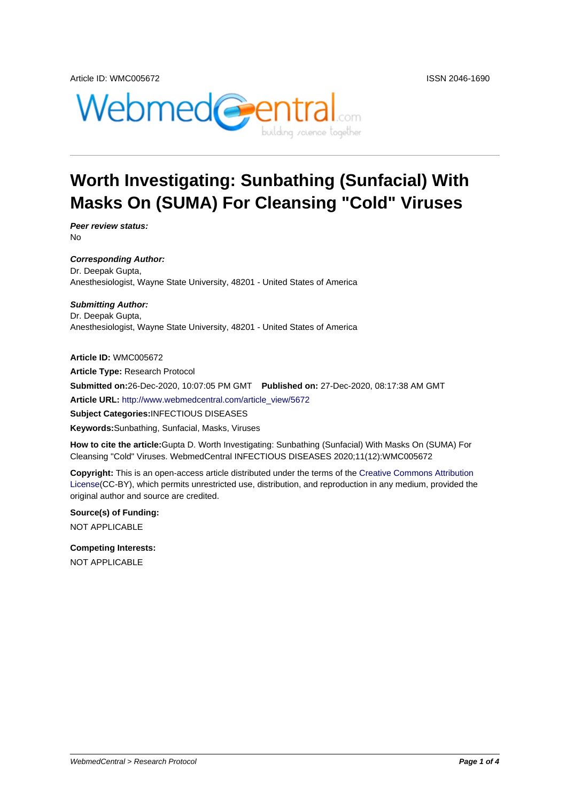

# **Worth Investigating: Sunbathing (Sunfacial) With Masks On (SUMA) For Cleansing "Cold" Viruses**

**Peer review status:** No

**Corresponding Author:** Dr. Deepak Gupta, Anesthesiologist, Wayne State University, 48201 - United States of America

**Submitting Author:** Dr. Deepak Gupta, Anesthesiologist, Wayne State University, 48201 - United States of America

**Article ID:** WMC005672 **Article Type:** Research Protocol **Submitted on:**26-Dec-2020, 10:07:05 PM GMT **Published on:** 27-Dec-2020, 08:17:38 AM GMT **Article URL:** http://www.webmedcentral.com/article\_view/5672 **Subject Categories:**INFECTIOUS DISEASES **Keywords:**Sunbathing, Sunfacial, Masks, Viruses

**How to cite the article:**[Gupta D. Worth Investigating: Sunbathi](http://www.webmedcentral.com/article_view/5672)ng (Sunfacial) With Masks On (SUMA) For Cleansing "Cold" Viruses. WebmedCentral INFECTIOUS DISEASES 2020;11(12):WMC005672

**Copyright:** This is an open-access article distributed under the terms of the Creative Commons Attribution License(CC-BY), which permits unrestricted use, distribution, and reproduction in any medium, provided the original author and source are credited.

**Source(s) of Funding:** [NOT AP](http://creativecommons.org/licenses/by/3.0/)PLICABLE

**Competing Interests:** NOT APPLICABLE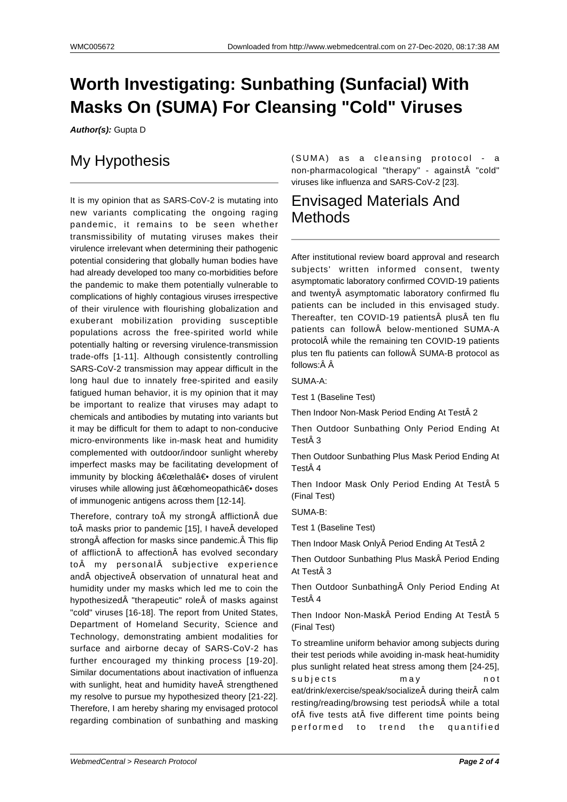## **Worth Investigating: Sunbathing (Sunfacial) With Masks On (SUMA) For Cleansing "Cold" Viruses**

**Author(s):** Gupta D

### My Hypothesis

It is my opinion that as SARS-CoV-2 is mutating into new variants complicating the ongoing raging pandemic, it remains to be seen whether transmissibility of mutating viruses makes their virulence irrelevant when determining their pathogenic potential considering that globally human bodies have had already developed too many co-morbidities before the pandemic to make them potentially vulnerable to complications of highly contagious viruses irrespective of their virulence with flourishing globalization and exuberant mobilization providing susceptible populations across the free-spirited world while potentially halting or reversing virulence-transmission trade-offs [1-11]. Although consistently controlling SARS-CoV-2 transmission may appear difficult in the long haul due to innately free-spirited and easily fatigued human behavior, it is my opinion that it may be important to realize that viruses may adapt to chemicals and antibodies by mutating into variants but it may be difficult for them to adapt to non-conducive micro-environments like in-mask heat and humidity complemented with outdoor/indoor sunlight whereby imperfect masks may be facilitating development of immunity by blocking "lethal― doses of virulent viruses while allowing just "homeopathic― doses of immunogenic antigens across them [12-14].

Therefore, contrary to my strong affliction due to masks prior to pandemic [15], I have developed strong affection for masks since pandemic. Â This flip of affliction to affection has evolved secondary to my personal subjective experience and objective observation of unnatural heat and humidity under my masks which led me to coin the hypothesized A "therapeutic" role A of masks against "cold" viruses [16-18]. The report from United States, Department of Homeland Security, Science and Technology, demonstrating ambient modalities for surface and airborne decay of SARS-CoV-2 has further encouraged my thinking process [19-20]. Similar documentations about inactivation of influenza with sunlight, heat and humidity have strengthened my resolve to pursue my hypothesized theory [21-22]. Therefore, I am hereby sharing my envisaged protocol regarding combination of sunbathing and masking

(SUMA) as a cleansing protocol - a non-pharmacological "therapy" - against "cold" viruses like influenza and SARS-CoV-2 [23].

#### Envisaged Materials And Methods

After institutional review board approval and research subjects' written informed consent, twenty asymptomatic laboratory confirmed COVID-19 patients and twenty asymptomatic laboratory confirmed flu patients can be included in this envisaged study. Thereafter, ten COVID-19 patients plus ten flu patients can follow below-mentioned SUMA-A protocol while the remaining ten COVID-19 patients plus ten flu patients can follow SUMA-B protocol as follows:Â Â

SUMA-A:

Test 1 (Baseline Test)

Then Indoor Non-Mask Period Ending At Test 2

Then Outdoor Sunbathing Only Period Ending At Test 3

Then Outdoor Sunbathing Plus Mask Period Ending At Test 4

Then Indoor Mask Only Period Ending At Test 5 (Final Test)

SUMA-B:

Test 1 (Baseline Test)

Then Indoor Mask Only Period Ending At Test 2

Then Outdoor Sunbathing Plus Mask Period Ending At Test 3

Then Outdoor Sunbathing Only Period Ending At Test 4

Then Indoor Non-Mask Period Ending At Test 5 (Final Test)

To streamline uniform behavior among subjects during their test periods while avoiding in-mask heat-humidity plus sunlight related heat stress among them [24-25], subjects may not eat/drink/exercise/speak/socialize during their calm resting/reading/browsing test periods while a total of five tests at five different time points being performed to trend the quantified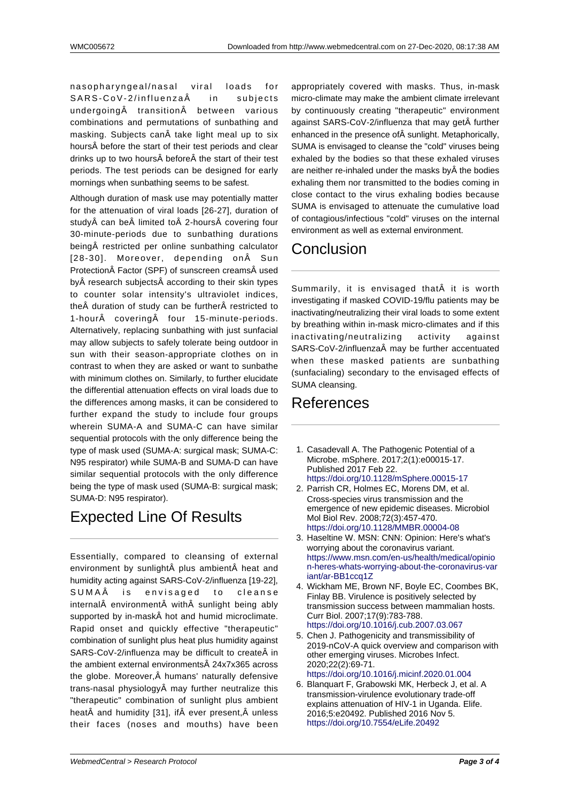nasopharyngeal/nasal viral loads for SARS-CoV-2/influenza in subjects  $undergoing  $\hat{A}$  transition  $\hat{A}$  between various$ combinations and permutations of sunbathing and masking. Subjects can take light meal up to six hours before the start of their test periods and clear drinks up to two hours before the start of their test periods. The test periods can be designed for early mornings when sunbathing seems to be safest.

Although duration of mask use may potentially matter for the attenuation of viral loads [26-27], duration of study can be limited to 2-hours covering four 30-minute-periods due to sunbathing durations being restricted per online sunbathing calculator [28-30]. Moreover, depending on Sun Protection Factor (SPF) of sunscreen creams used by research subjects according to their skin types to counter solar intensity's ultraviolet indices, the $\hat{A}$  duration of study can be further $\hat{A}$  restricted to 1-hour $\hat{A}$  covering $\hat{A}$  four 15-minute-periods. Alternatively, replacing sunbathing with just sunfacial may allow subjects to safely tolerate being outdoor in sun with their season-appropriate clothes on in contrast to when they are asked or want to sunbathe with minimum clothes on. Similarly, to further elucidate the differential attenuation effects on viral loads due to the differences among masks, it can be considered to further expand the study to include four groups wherein SUMA-A and SUMA-C can have similar sequential protocols with the only difference being the type of mask used (SUMA-A: surgical mask; SUMA-C: N95 respirator) while SUMA-B and SUMA-D can have similar sequential protocols with the only difference being the type of mask used (SUMA-B: surgical mask; SUMA-D: N95 respirator).

## Expected Line Of Results

Essentially, compared to cleansing of external environment by sunlight plus ambient heat and humidity acting against SARS-CoV-2/influenza [19-22], SUMAÂ is envisaged to cleanse internal environment with sunlight being ably supported by in-mask hot and humid microclimate. Rapid onset and quickly effective "therapeutic" combination of sunlight plus heat plus humidity against SARS-CoV-2/influenza may be difficult to create in the ambient external environments 24x7x365 across the globe. Moreover, $\hat{A}$  humans' naturally defensive trans-nasal physiology $\hat{A}$  may further neutralize this "therapeutic" combination of sunlight plus ambient heat and humidity [31], if ever present, unless their faces (noses and mouths) have been appropriately covered with masks. Thus, in-mask micro-climate may make the ambient climate irrelevant by continuously creating "therapeutic" environment against SARS-CoV-2/influenza that may get further enhanced in the presence of sunlight. Metaphorically, SUMA is envisaged to cleanse the "cold" viruses being exhaled by the bodies so that these exhaled viruses are neither re-inhaled under the masks by the bodies exhaling them nor transmitted to the bodies coming in close contact to the virus exhaling bodies because SUMA is envisaged to attenuate the cumulative load of contagious/infectious "cold" viruses on the internal environment as well as external environment.

## **Conclusion**

Summarily, it is envisaged that it is worth investigating if masked COVID-19/flu patients may be inactivating/neutralizing their viral loads to some extent by breathing within in-mask micro-climates and if this inactivating/neutralizing activity against SARS-CoV-2/influenza may be further accentuated when these masked patients are sunbathing (sunfacialing) secondary to the envisaged effects of SUMA cleansing.

### References

- 1. Casadevall A. The Pathogenic Potential of a Microbe. mSphere. 2017;2(1):e00015-17. Published 2017 Feb 22. https://doi.org/10.1128/mSphere.00015-17
- 2. Parrish CR, Holmes EC, Morens DM, et al. Cross-species virus transmission and the emergence of new epidemic diseases. Microbiol Mol Biol Rev. 2008;72(3):457-470. [https://doi.org/10.1128/MMBR.00004-08](https://doi.org/10.1128/mSphere.00015-17)
- 3. Haseltine W. MSN: CNN: Opinion: Here's what's worrying about the coronavirus variant. https://www.msn.com/en-us/health/medical/opinio n-heres-whats-worrying-about-the-coronavirus-var [iant/ar-BB1ccq1Z](https://doi.org/10.1128/MMBR.00004-08)
- 4. Wickham ME, Brown NF, Boyle EC, Coombes BK, Finlay BB. Virulence is positively selected by [transmission success between mammalian hosts.](https://www.msn.com/en-us/health/medical/opinion-heres-whats-worrying-about-the-coronavirus-variant/ar-BB1ccq1Z) [Curr Biol. 2007;17\(9\):783-788.](https://www.msn.com/en-us/health/medical/opinion-heres-whats-worrying-about-the-coronavirus-variant/ar-BB1ccq1Z) [https://doi.org/10.1](https://www.msn.com/en-us/health/medical/opinion-heres-whats-worrying-about-the-coronavirus-variant/ar-BB1ccq1Z)016/j.cub.2007.03.067
- 5. Chen J. Pathogenicity and transmissibility of 2019-nCoV-A quick overview and comparison with other emerging viruses. Microbes Infect. 2020;22(2):69-71. [https://doi.org/10.1016/j.micinf.2020.01.00](https://doi.org/10.1016/j.cub.2007.03.067)4
- 6. Blanquart F, Grabowski MK, Herbeck J, et al. A transmission-virulence evolutionary trade-off explains attenuation of HIV-1 in Uganda. Elife. 2016;5:e20492. Published 2016 Nov 5. [https://doi.org/10.7554/eLife.20492](https://doi.org/10.1016/j.micinf.2020.01.004)